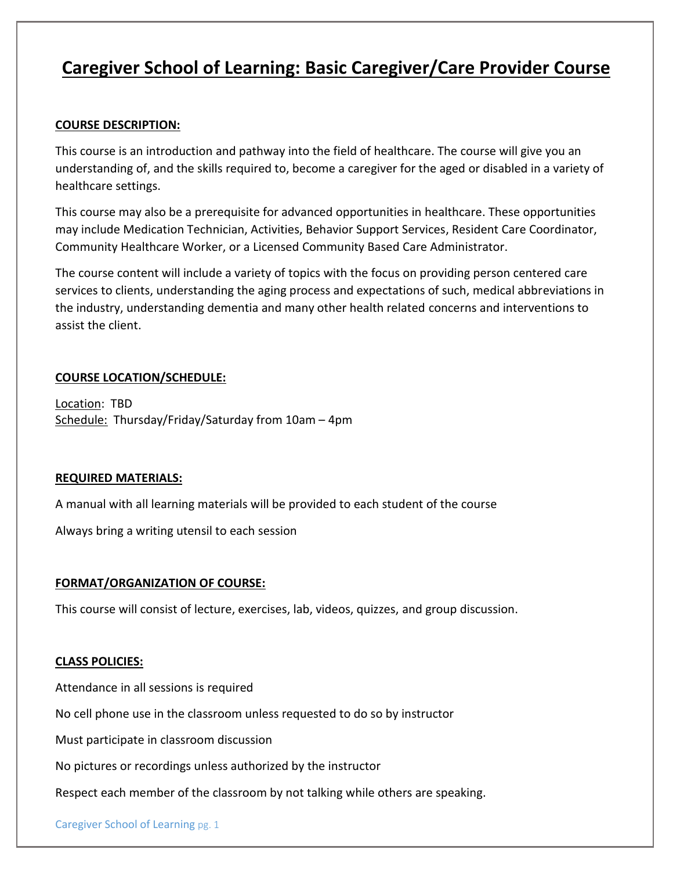# **Caregiver School of Learning: Basic Caregiver/Care Provider Course**

## **COURSE DESCRIPTION:**

This course is an introduction and pathway into the field of healthcare. The course will give you an understanding of, and the skills required to, become a caregiver for the aged or disabled in a variety of healthcare settings.

This course may also be a prerequisite for advanced opportunities in healthcare. These opportunities may include Medication Technician, Activities, Behavior Support Services, Resident Care Coordinator, Community Healthcare Worker, or a Licensed Community Based Care Administrator.

The course content will include a variety of topics with the focus on providing person centered care services to clients, understanding the aging process and expectations of such, medical abbreviations in the industry, understanding dementia and many other health related concerns and interventions to assist the client.

## **COURSE LOCATION/SCHEDULE:**

Location: TBD Schedule: Thursday/Friday/Saturday from 10am - 4pm

#### **REQUIRED MATERIALS:**

A manual with all learning materials will be provided to each student of the course

Always bring a writing utensil to each session

#### **FORMAT/ORGANIZATION OF COURSE:**

This course will consist of lecture, exercises, lab, videos, quizzes, and group discussion.

#### **CLASS POLICIES:**

Attendance in all sessions is required

No cell phone use in the classroom unless requested to do so by instructor

Must participate in classroom discussion

No pictures or recordings unless authorized by the instructor

Respect each member of the classroom by not talking while others are speaking.

Caregiver School of Learning pg. 1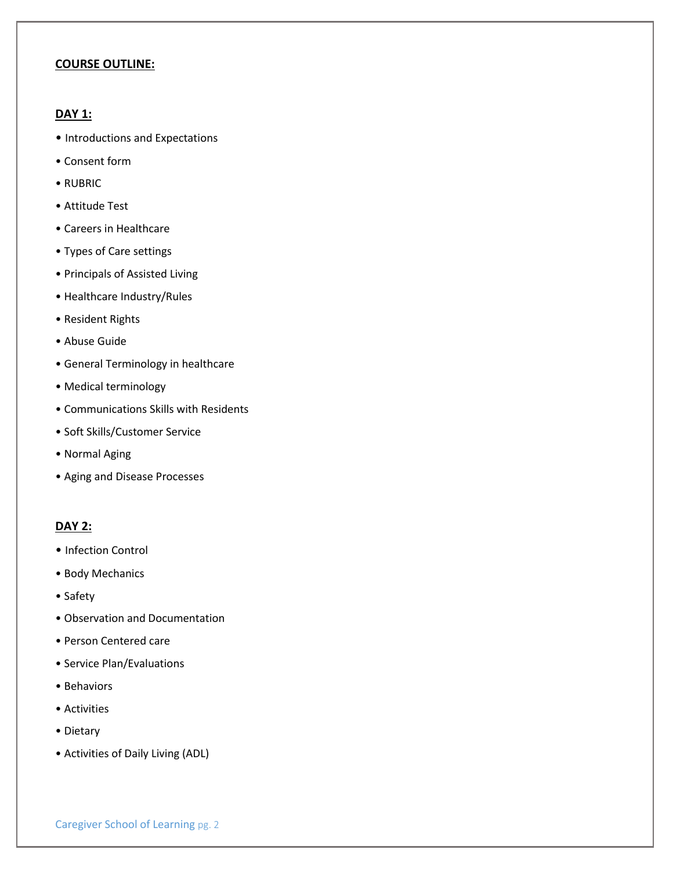#### **COURSE OUTLINE:**

### **DAY 1:**

- Introductions and Expectations
- Consent form
- RUBRIC
- Attitude Test
- Careers in Healthcare
- Types of Care settings
- Principals of Assisted Living
- Healthcare Industry/Rules
- Resident Rights
- Abuse Guide
- General Terminology in healthcare
- Medical terminology
- Communications Skills with Residents
- Soft Skills/Customer Service
- Normal Aging
- Aging and Disease Processes

## **DAY 2:**

- Infection Control
- Body Mechanics
- Safety
- Observation and Documentation
- Person Centered care
- Service Plan/Evaluations
- Behaviors
- Activities
- Dietary
- Activities of Daily Living (ADL)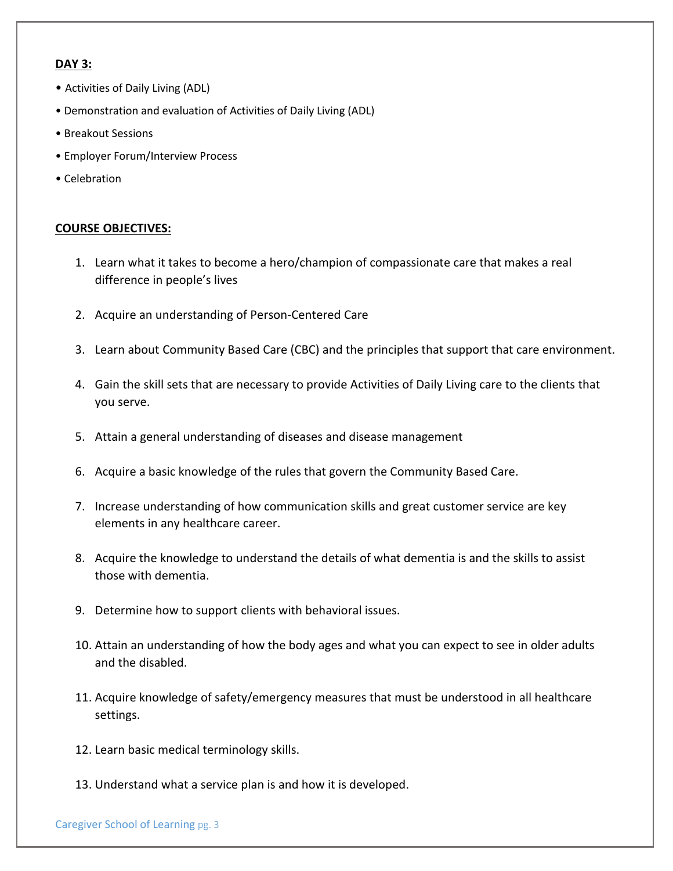## **DAY 3:**

- Activities of Daily Living (ADL)
- Demonstration and evaluation of Activities of Daily Living (ADL)
- Breakout Sessions
- Employer Forum/Interview Process
- Celebration

## **COURSE OBJECTIVES:**

- 1. Learn what it takes to become a hero/champion of compassionate care that makes a real difference in people's lives
- 2. Acquire an understanding of Person-Centered Care
- 3. Learn about Community Based Care (CBC) and the principles that support that care environment.
- 4. Gain the skill sets that are necessary to provide Activities of Daily Living care to the clients that you serve.
- 5. Attain a general understanding of diseases and disease management
- 6. Acquire a basic knowledge of the rules that govern the Community Based Care.
- 7. Increase understanding of how communication skills and great customer service are key elements in any healthcare career.
- 8. Acquire the knowledge to understand the details of what dementia is and the skills to assist those with dementia.
- 9. Determine how to support clients with behavioral issues.
- 10. Attain an understanding of how the body ages and what you can expect to see in older adults and the disabled.
- 11. Acquire knowledge of safety/emergency measures that must be understood in all healthcare settings.
- 12. Learn basic medical terminology skills.
- 13. Understand what a service plan is and how it is developed.